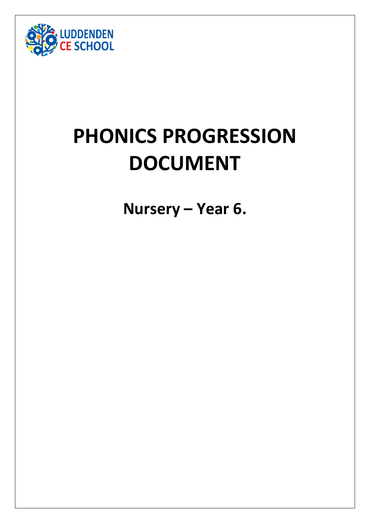

# **PHONICS PROGRESSION DOCUMENT**

**Nursery – Year 6.**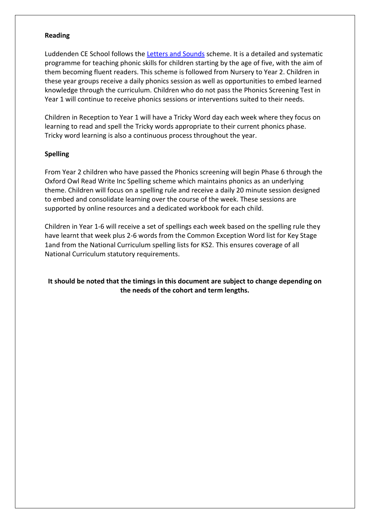#### **Reading**

Luddenden CE School follows the [Letters and Sounds](https://www.gov.uk/government/publications/letters-and-sounds) scheme. It is a detailed and systematic programme for teaching phonic skills for children starting by the age of five, with the aim of them becoming fluent readers. This scheme is followed from Nursery to Year 2. Children in these year groups receive a daily phonics session as well as opportunities to embed learned knowledge through the curriculum. Children who do not pass the Phonics Screening Test in Year 1 will continue to receive phonics sessions or interventions suited to their needs.

Children in Reception to Year 1 will have a Tricky Word day each week where they focus on learning to read and spell the Tricky words appropriate to their current phonics phase. Tricky word learning is also a continuous process throughout the year.

#### **Spelling**

From Year 2 children who have passed the Phonics screening will begin Phase 6 through the Oxford Owl Read Write Inc Spelling scheme which maintains phonics as an underlying theme. Children will focus on a spelling rule and receive a daily 20 minute session designed to embed and consolidate learning over the course of the week. These sessions are supported by online resources and a dedicated workbook for each child.

Children in Year 1-6 will receive a set of spellings each week based on the spelling rule they have learnt that week plus 2-6 words from the Common Exception Word list for Key Stage 1and from the National Curriculum spelling lists for KS2. This ensures coverage of all National Curriculum statutory requirements.

#### **It should be noted that the timings in this document are subject to change depending on the needs of the cohort and term lengths.**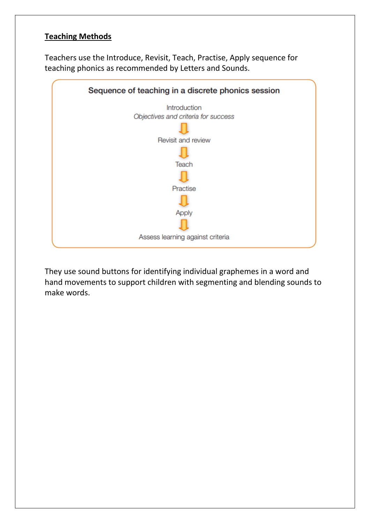# **Teaching Methods**

Teachers use the Introduce, Revisit, Teach, Practise, Apply sequence for teaching phonics as recommended by Letters and Sounds.



They use sound buttons for identifying individual graphemes in a word and hand movements to support children with segmenting and blending sounds to make words.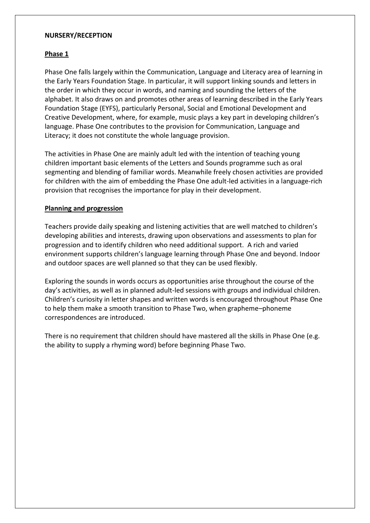#### **NURSERY/RECEPTION**

## **Phase 1**

Phase One falls largely within the Communication, Language and Literacy area of learning in the Early Years Foundation Stage. In particular, it will support linking sounds and letters in the order in which they occur in words, and naming and sounding the letters of the alphabet. It also draws on and promotes other areas of learning described in the Early Years Foundation Stage (EYFS), particularly Personal, Social and Emotional Development and Creative Development, where, for example, music plays a key part in developing children's language. Phase One contributes to the provision for Communication, Language and Literacy; it does not constitute the whole language provision.

The activities in Phase One are mainly adult led with the intention of teaching young children important basic elements of the Letters and Sounds programme such as oral segmenting and blending of familiar words. Meanwhile freely chosen activities are provided for children with the aim of embedding the Phase One adult-led activities in a language-rich provision that recognises the importance for play in their development.

#### **Planning and progression**

Teachers provide daily speaking and listening activities that are well matched to children's developing abilities and interests, drawing upon observations and assessments to plan for progression and to identify children who need additional support. A rich and varied environment supports children's language learning through Phase One and beyond. Indoor and outdoor spaces are well planned so that they can be used flexibly.

Exploring the sounds in words occurs as opportunities arise throughout the course of the day's activities, as well as in planned adult-led sessions with groups and individual children. Children's curiosity in letter shapes and written words is encouraged throughout Phase One to help them make a smooth transition to Phase Two, when grapheme–phoneme correspondences are introduced.

There is no requirement that children should have mastered all the skills in Phase One (e.g. the ability to supply a rhyming word) before beginning Phase Two.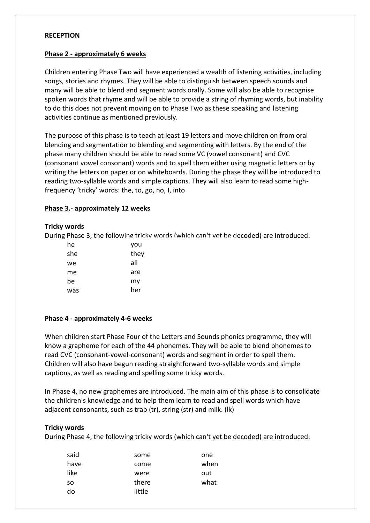#### **RECEPTION**

#### **Phase 2 - approximately 6 weeks**

Children entering Phase Two will have experienced a wealth of listening activities, including songs, stories and rhymes. They will be able to distinguish between speech sounds and many will be able to blend and segment words orally. Some will also be able to recognise spoken words that rhyme and will be able to provide a string of rhyming words, but inability to do this does not prevent moving on to Phase Two as these speaking and listening activities continue as mentioned previously.

The purpose of this phase is to teach at least 19 letters and move children on from oral blending and segmentation to blending and segmenting with letters. By the end of the phase many children should be able to read some VC (vowel consonant) and CVC (consonant vowel consonant) words and to spell them either using magnetic letters or by writing the letters on paper or on whiteboards. During the phase they will be introduced to reading two-syllable words and simple captions. They will also learn to read some highfrequency 'tricky' words: the, to, go, no, I, into

#### **Phase 3.- approximately 12 weeks**

#### **Tricky words**

During Phase 3, the following tricky words (which can't yet be decoded) are introduced:

| he  | you  |
|-----|------|
| she | they |
| we  | all  |
| me  | are  |
| be  | my   |
| was | her  |

#### **Phase 4 - approximately 4-6 weeks**

When children start Phase Four of the Letters and Sounds phonics programme, they will know a grapheme for each of the 44 phonemes. They will be able to blend phonemes to read CVC (consonant-vowel-consonant) words and segment in order to spell them. Children will also have begun reading straightforward two-syllable words and simple captions, as well as reading and spelling some tricky words.

In Phase 4, no new graphemes are introduced. The main aim of this phase is to consolidate the children's knowledge and to help them learn to read and spell words which have adjacent consonants, such as trap (tr), string (str) and milk. (lk)

#### **Tricky words**

During Phase 4, the following tricky words (which can't yet be decoded) are introduced:

| said      | some   | one  |
|-----------|--------|------|
| have      | come   | when |
| like      | were   | out  |
| <b>SO</b> | there  | what |
| do        | little |      |
|           |        |      |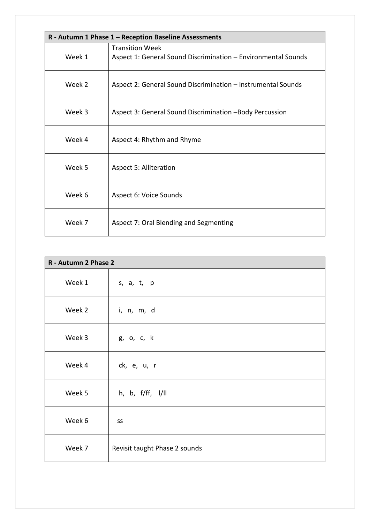|        | R - Autumn 1 Phase 1 - Reception Baseline Assessments         |  |
|--------|---------------------------------------------------------------|--|
|        | <b>Transition Week</b>                                        |  |
| Week 1 | Aspect 1: General Sound Discrimination - Environmental Sounds |  |
| Week 2 | Aspect 2: General Sound Discrimination - Instrumental Sounds  |  |
| Week 3 | Aspect 3: General Sound Discrimination -Body Percussion       |  |
| Week 4 | Aspect 4: Rhythm and Rhyme                                    |  |
| Week 5 | <b>Aspect 5: Alliteration</b>                                 |  |
| Week 6 | Aspect 6: Voice Sounds                                        |  |
| Week 7 | Aspect 7: Oral Blending and Segmenting                        |  |

| R - Autumn 2 Phase 2 |                               |
|----------------------|-------------------------------|
| Week 1               | s, a, t, p                    |
| Week 2               | i, n, m, d                    |
| Week 3               | g, o, c, k                    |
| Week 4               | ck, e, u, r                   |
| Week 5               | h, b, f/ff, l/ll              |
| Week 6               | SS                            |
| Week 7               | Revisit taught Phase 2 sounds |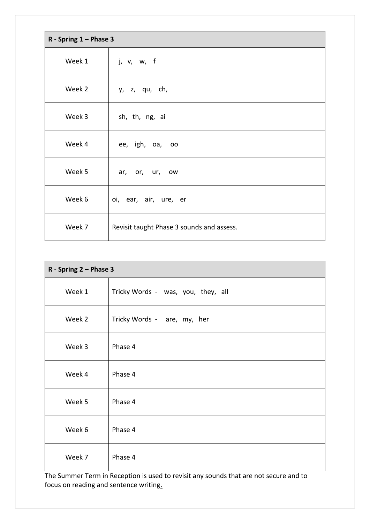| R - Spring $1 -$ Phase 3 |                                           |
|--------------------------|-------------------------------------------|
| Week 1                   | j, v, w, f                                |
| Week 2                   | y, z, qu, ch,                             |
| Week 3                   | sh, th, ng, ai                            |
| Week 4                   | ee, igh, oa, oo                           |
| Week 5                   | ar, or, ur, ow                            |
| Week 6                   | oi, ear, air, ure, er                     |
| Week 7                   | Revisit taught Phase 3 sounds and assess. |

| R - Spring 2 - Phase 3 |                                    |
|------------------------|------------------------------------|
| Week 1                 | Tricky Words - was, you, they, all |
| Week 2                 | Tricky Words - are, my, her        |
| Week 3                 | Phase 4                            |
| Week 4                 | Phase 4                            |
| Week 5                 | Phase 4                            |
| Week 6                 | Phase 4                            |
| Week 7                 | Phase 4                            |

The Summer Term in Reception is used to revisit any sounds that are not secure and to focus on reading and sentence writing.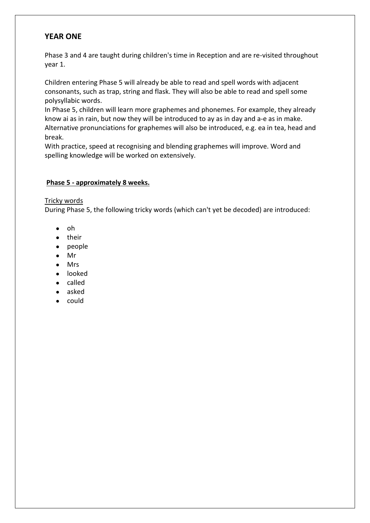# **YEAR ONE**

Phase 3 and 4 are taught during children's time in Reception and are re-visited throughout year 1.

Children entering Phase 5 will already be able to read and spell words with adjacent consonants, such as trap, string and flask. They will also be able to read and spell some polysyllabic words.

In Phase 5, children will learn more graphemes and phonemes. For example, they already know ai as in rain, but now they will be introduced to ay as in day and a-e as in make. Alternative pronunciations for graphemes will also be introduced, e.g. ea in tea, head and break.

With practice, speed at recognising and blending graphemes will improve. Word and spelling knowledge will be worked on extensively.

#### **Phase 5 - approximately 8 weeks.**

#### Tricky words

During Phase 5, the following tricky words (which can't yet be decoded) are introduced:

- oh
- their
- people
- Mr
- Mrs
- looked
- called
- asked
- could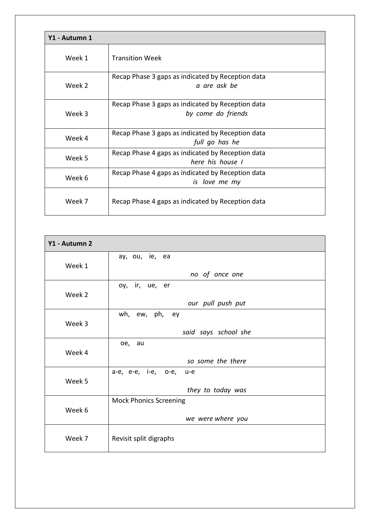| Y1 - Autumn 1 |                                                                         |
|---------------|-------------------------------------------------------------------------|
| Week 1        | <b>Transition Week</b>                                                  |
| Week 2        | Recap Phase 3 gaps as indicated by Reception data<br>a are ask be       |
| Week 3        | Recap Phase 3 gaps as indicated by Reception data<br>by come do friends |
| Week 4        | Recap Phase 3 gaps as indicated by Reception data<br>full go has he     |
| Week 5        | Recap Phase 4 gaps as indicated by Reception data<br>here his house I   |
| Week 6        | Recap Phase 4 gaps as indicated by Reception data<br>is love me my      |
| Week 7        | Recap Phase 4 gaps as indicated by Reception data                       |

| Y1 - Autumn 2 |                               |
|---------------|-------------------------------|
|               | ay, ou, ie, ea                |
| Week 1        | no of once one                |
|               | oy, ir, ue, er                |
| Week 2        | our pull push put             |
|               | wh, ew, ph, ey                |
| Week 3        | said says school she          |
|               | oe, au                        |
| Week 4        | so some the there             |
| Week 5        | a-e, e-e, i-e, o-e, u-e       |
|               | they to today was             |
| Week 6        | <b>Mock Phonics Screening</b> |
|               | we were where you             |
| Week 7        | Revisit split digraphs        |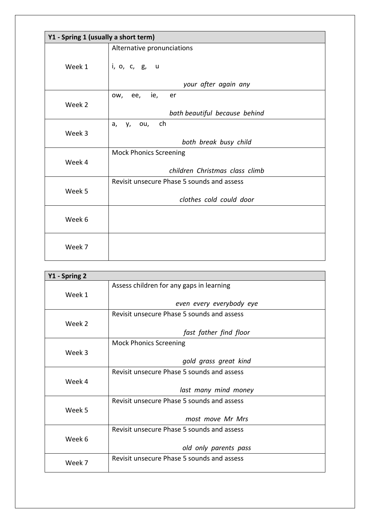|        | Y1 - Spring 1 (usually a short term)       |  |  |
|--------|--------------------------------------------|--|--|
|        | Alternative pronunciations                 |  |  |
| Week 1 | i, o, c, g, u                              |  |  |
|        | your after again any                       |  |  |
| Week 2 | OW,<br>ee,<br>ie,<br>er                    |  |  |
|        | bath beautiful because behind              |  |  |
| Week 3 | a, y, ou, ch                               |  |  |
|        | both break busy child                      |  |  |
|        | <b>Mock Phonics Screening</b>              |  |  |
| Week 4 | children Christmas class climb             |  |  |
|        | Revisit unsecure Phase 5 sounds and assess |  |  |
| Week 5 | clothes cold could door                    |  |  |
| Week 6 |                                            |  |  |
| Week 7 |                                            |  |  |

| Y1 - Spring 2 |                                            |
|---------------|--------------------------------------------|
|               | Assess children for any gaps in learning   |
| Week 1        |                                            |
|               | even every everybody eye                   |
|               | Revisit unsecure Phase 5 sounds and assess |
| Week 2        |                                            |
|               | fast father find floor                     |
|               | <b>Mock Phonics Screening</b>              |
| Week 3        |                                            |
|               | gold grass great kind                      |
|               | Revisit unsecure Phase 5 sounds and assess |
| Week 4        |                                            |
|               | last many mind money                       |
|               | Revisit unsecure Phase 5 sounds and assess |
| Week 5        |                                            |
|               | most move Mr Mrs                           |
|               | Revisit unsecure Phase 5 sounds and assess |
| Week 6        |                                            |
|               | old only parents pass                      |
| Week 7        | Revisit unsecure Phase 5 sounds and assess |
|               |                                            |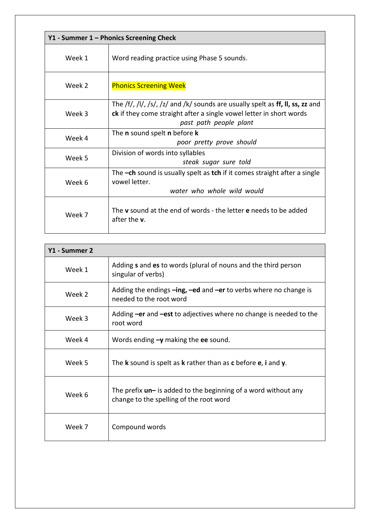|        | Y1 - Summer 1 – Phonics Screening Check                                                                                                                                                                                             |  |
|--------|-------------------------------------------------------------------------------------------------------------------------------------------------------------------------------------------------------------------------------------|--|
| Week 1 | Word reading practice using Phase 5 sounds.                                                                                                                                                                                         |  |
| Week 2 | <b>Phonics Screening Week</b>                                                                                                                                                                                                       |  |
| Week 3 | The $\frac{f}{f}$ , $\frac{1}{f}$ , $\frac{1}{s}$ , $\frac{1}{z}$ and $\frac{1}{k}$ sounds are usually spelt as ff, II, ss, zz and<br>ck if they come straight after a single vowel letter in short words<br>past path people plant |  |
| Week 4 | The <b>n</b> sound spelt <b>n</b> before <b>k</b><br>poor pretty prove should                                                                                                                                                       |  |
| Week 5 | Division of words into syllables<br>steak sugar sure told                                                                                                                                                                           |  |
| Week 6 | The $-$ ch sound is usually spelt as tch if it comes straight after a single<br>vowel letter.<br>water who whole wild would                                                                                                         |  |
| Week 7 | The v sound at the end of words - the letter e needs to be added<br>after the <b>v</b> .                                                                                                                                            |  |

| Y1 - Summer 2 |                                                                                                             |
|---------------|-------------------------------------------------------------------------------------------------------------|
| Week 1        | Adding s and es to words (plural of nouns and the third person<br>singular of verbs)                        |
| Week 2        | Adding the endings $-$ ing, $-e$ d and $-e$ r to verbs where no change is<br>needed to the root word        |
| Week 3        | Adding -er and -est to adjectives where no change is needed to the<br>root word                             |
| Week 4        | Words ending $-\mathbf{y}$ making the ee sound.                                                             |
| Week 5        | The <b>k</b> sound is spelt as <b>k</b> rather than as <b>c</b> before <b>e</b> , <b>i</b> and <b>y</b> .   |
| Week 6        | The prefix $un-$ is added to the beginning of a word without any<br>change to the spelling of the root word |
| Week 7        | Compound words                                                                                              |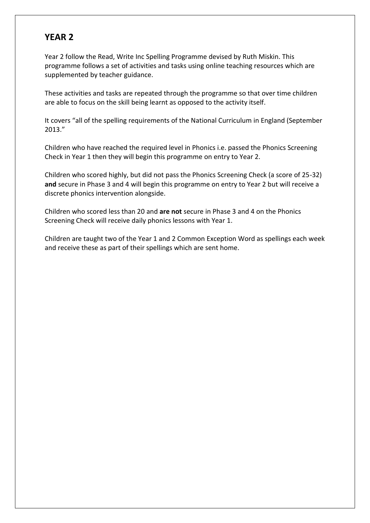Year 2 follow the Read, Write Inc Spelling Programme devised by Ruth Miskin. This programme follows a set of activities and tasks using online teaching resources which are supplemented by teacher guidance.

These activities and tasks are repeated through the programme so that over time children are able to focus on the skill being learnt as opposed to the activity itself.

It covers "all of the spelling requirements of the National Curriculum in England (September 2013."

Children who have reached the required level in Phonics i.e. passed the Phonics Screening Check in Year 1 then they will begin this programme on entry to Year 2.

Children who scored highly, but did not pass the Phonics Screening Check (a score of 25-32) **and** secure in Phase 3 and 4 will begin this programme on entry to Year 2 but will receive a discrete phonics intervention alongside.

Children who scored less than 20 and **are not** secure in Phase 3 and 4 on the Phonics Screening Check will receive daily phonics lessons with Year 1.

Children are taught two of the Year 1 and 2 Common Exception Word as spellings each week and receive these as part of their spellings which are sent home.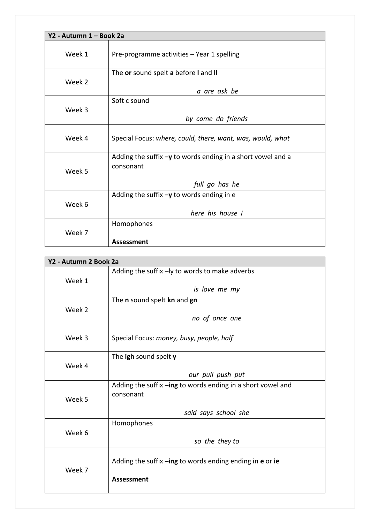| Y2 - Autumn 1 - Book 2a |                                                                            |
|-------------------------|----------------------------------------------------------------------------|
| Week 1                  | Pre-programme activities - Year 1 spelling                                 |
| Week 2                  | The or sound spelt a before I and II                                       |
|                         | a are ask be                                                               |
| Week 3                  | Soft c sound                                                               |
|                         | by come do friends                                                         |
| Week 4                  | Special Focus: where, could, there, want, was, would, what                 |
| Week 5                  | Adding the suffix $-y$ to words ending in a short vowel and a<br>consonant |
|                         | full go has he                                                             |
| Week 6                  | Adding the suffix $-y$ to words ending in e                                |
|                         | here his house I                                                           |
| Week 7                  | Homophones                                                                 |
|                         | <b>Assessment</b>                                                          |

|        | Y2 - Autumn 2 Book 2a                                       |  |
|--------|-------------------------------------------------------------|--|
|        | Adding the suffix -ly to words to make adverbs              |  |
| Week 1 |                                                             |  |
|        | is love me my                                               |  |
|        | The n sound spelt kn and gn                                 |  |
| Week 2 |                                                             |  |
|        | no of once one                                              |  |
|        |                                                             |  |
| Week 3 | Special Focus: money, busy, people, half                    |  |
|        |                                                             |  |
|        | The igh sound spelt y                                       |  |
| Week 4 | our pull push put                                           |  |
|        |                                                             |  |
|        | Adding the suffix -ing to words ending in a short vowel and |  |
| Week 5 | consonant                                                   |  |
|        | said says school she                                        |  |
|        | Homophones                                                  |  |
| Week 6 |                                                             |  |
|        | so the they to                                              |  |
| Week 7 |                                                             |  |
|        | Adding the suffix -ing to words ending ending in e or ie    |  |
|        |                                                             |  |
|        | <b>Assessment</b>                                           |  |
|        |                                                             |  |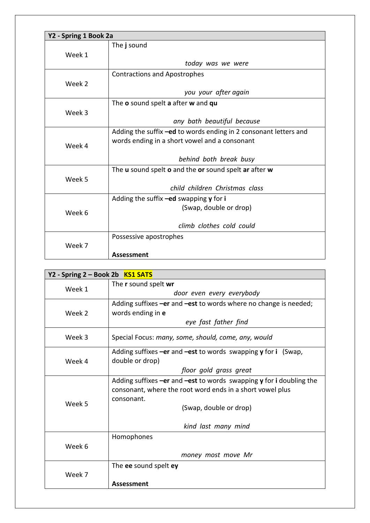| Y2 - Spring 1 Book 2a |                                                                  |
|-----------------------|------------------------------------------------------------------|
|                       | The j sound                                                      |
| Week 1                |                                                                  |
|                       | today was we were                                                |
|                       | <b>Contractions and Apostrophes</b>                              |
| Week 2                |                                                                  |
|                       | you your after again                                             |
|                       | The o sound spelt a after w and qu                               |
| Week 3                |                                                                  |
|                       | any bath beautiful because                                       |
|                       | Adding the suffix -ed to words ending in 2 consonant letters and |
| Week 4                | words ending in a short vowel and a consonant                    |
|                       | behind both break busy                                           |
|                       | The u sound spelt o and the or sound spelt ar after w            |
| Week 5                |                                                                  |
|                       | child children Christmas class                                   |
|                       | Adding the suffix -ed swapping y for i                           |
| Week 6                | (Swap, double or drop)                                           |
|                       |                                                                  |
|                       | climb clothes cold could                                         |
|                       | Possessive apostrophes                                           |
| Week 7                |                                                                  |
|                       | <b>Assessment</b>                                                |

| Y2 - Spring 2 - Book 2b KS1 SATS |                                                                           |
|----------------------------------|---------------------------------------------------------------------------|
| Week 1                           | The r sound spelt wr                                                      |
|                                  | door even every everybody                                                 |
|                                  | Adding suffixes $-er$ and $-est$ to words where no change is needed;      |
| Week 2                           | words ending in e                                                         |
|                                  | eye fast father find                                                      |
| Week 3                           | Special Focus: many, some, should, come, any, would                       |
|                                  | Adding suffixes $-er$ and $-est$ to words swapping $y$ for i (Swap,       |
| Week 4                           | double or drop)                                                           |
|                                  | floor gold grass great                                                    |
|                                  | Adding suffixes $-er$ and $-est$ to words swapping $y$ for i doubling the |
|                                  | consonant, where the root word ends in a short vowel plus                 |
| Week 5                           | consonant.                                                                |
|                                  | (Swap, double or drop)                                                    |
|                                  |                                                                           |
|                                  | kind last many mind                                                       |
|                                  | Homophones                                                                |
| Week 6                           |                                                                           |
|                                  | money most move Mr                                                        |
| Week 7                           | The ee sound spelt ey                                                     |
|                                  |                                                                           |
|                                  | Assessment                                                                |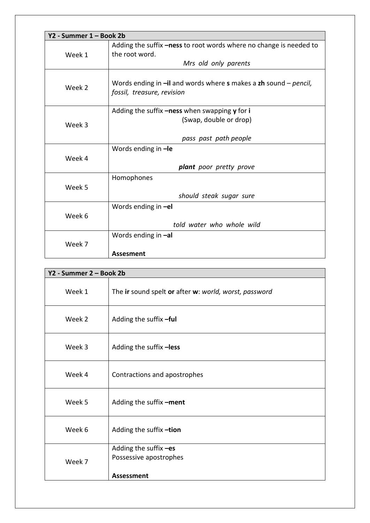|        | Y2 - Summer 1 – Book 2b                                                     |  |
|--------|-----------------------------------------------------------------------------|--|
| Week 1 | Adding the suffix -ness to root words where no change is needed to          |  |
|        | the root word.                                                              |  |
|        | Mrs old only parents                                                        |  |
|        |                                                                             |  |
| Week 2 | Words ending in $-i\mathbf{l}$ and words where s makes a zh sound – pencil, |  |
|        | fossil, treasure, revision                                                  |  |
|        | Adding the suffix -ness when swapping y for i                               |  |
|        | (Swap, double or drop)                                                      |  |
| Week 3 |                                                                             |  |
|        | pass past path people                                                       |  |
|        | Words ending in -le                                                         |  |
| Week 4 |                                                                             |  |
|        | <b>plant</b> poor pretty prove                                              |  |
|        | Homophones                                                                  |  |
| Week 5 |                                                                             |  |
|        | should steak sugar sure                                                     |  |
|        | Words ending in -el                                                         |  |
| Week 6 |                                                                             |  |
|        | told water who whole wild                                                   |  |
| Week 7 | Words ending in -al                                                         |  |
|        |                                                                             |  |
|        | <b>Assesment</b>                                                            |  |

|        | Y2 - Summer 2 - Book 2b                                              |  |
|--------|----------------------------------------------------------------------|--|
| Week 1 | The ir sound spelt or after w: world, worst, password                |  |
| Week 2 | Adding the suffix -ful                                               |  |
| Week 3 | Adding the suffix -less                                              |  |
| Week 4 | Contractions and apostrophes                                         |  |
| Week 5 | Adding the suffix -ment                                              |  |
| Week 6 | Adding the suffix -tion                                              |  |
| Week 7 | Adding the suffix -es<br>Possessive apostrophes<br><b>Assessment</b> |  |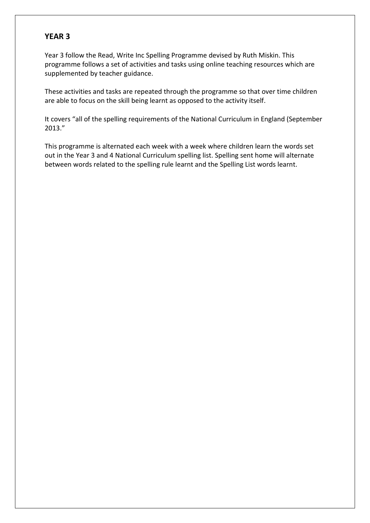Year 3 follow the Read, Write Inc Spelling Programme devised by Ruth Miskin. This programme follows a set of activities and tasks using online teaching resources which are supplemented by teacher guidance.

These activities and tasks are repeated through the programme so that over time children are able to focus on the skill being learnt as opposed to the activity itself.

It covers "all of the spelling requirements of the National Curriculum in England (September 2013."

This programme is alternated each week with a week where children learn the words set out in the Year 3 and 4 National Curriculum spelling list. Spelling sent home will alternate between words related to the spelling rule learnt and the Spelling List words learnt.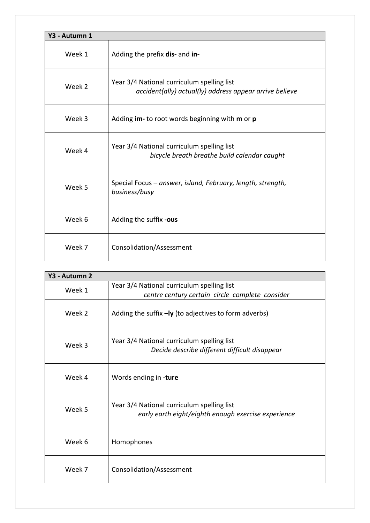| Y3 - Autumn 1 |                                                                                                       |
|---------------|-------------------------------------------------------------------------------------------------------|
| Week 1        | Adding the prefix dis- and in-                                                                        |
| Week 2        | Year 3/4 National curriculum spelling list<br>accident(ally) actual(ly) address appear arrive believe |
| Week 3        | Adding im- to root words beginning with m or p                                                        |
| Week 4        | Year 3/4 National curriculum spelling list<br>bicycle breath breathe build calendar caught            |
| Week 5        | Special Focus – answer, island, February, length, strength,<br>business/busy                          |
| Week 6        | Adding the suffix -ous                                                                                |
| Week 7        | Consolidation/Assessment                                                                              |

| Y3 - Autumn 2 |                                                                                                   |
|---------------|---------------------------------------------------------------------------------------------------|
| Week 1        | Year 3/4 National curriculum spelling list                                                        |
|               | centre century certain circle complete consider                                                   |
| Week 2        | Adding the suffix $-ly$ (to adjectives to form adverbs)                                           |
| Week 3        | Year 3/4 National curriculum spelling list<br>Decide describe different difficult disappear       |
| Week 4        | Words ending in -ture                                                                             |
| Week 5        | Year 3/4 National curriculum spelling list<br>early earth eight/eighth enough exercise experience |
| Week 6        | Homophones                                                                                        |
| Week 7        | Consolidation/Assessment                                                                          |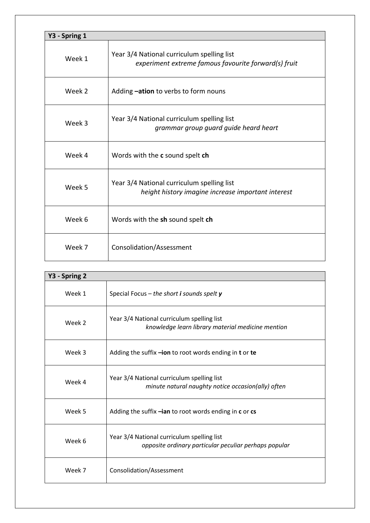| Y3 - Spring 1 |                                                                                                    |
|---------------|----------------------------------------------------------------------------------------------------|
| Week 1        | Year 3/4 National curriculum spelling list<br>experiment extreme famous favourite forward(s) fruit |
| Week 2        | Adding <b>-ation</b> to verbs to form nouns                                                        |
| Week 3        | Year 3/4 National curriculum spelling list<br>grammar group guard guide heard heart                |
| Week 4        | Words with the c sound spelt ch                                                                    |
| Week 5        | Year 3/4 National curriculum spelling list<br>height history imagine increase important interest   |
| Week 6        | Words with the sh sound spelt ch                                                                   |
| Week 7        | Consolidation/Assessment                                                                           |

| Y3 - Spring 2 |                                                                                                     |
|---------------|-----------------------------------------------------------------------------------------------------|
| Week 1        | Special Focus – the short i sounds spelt $y$                                                        |
| Week 2        | Year 3/4 National curriculum spelling list<br>knowledge learn library material medicine mention     |
| Week 3        | Adding the suffix -ion to root words ending in t or te                                              |
| Week 4        | Year 3/4 National curriculum spelling list<br>minute natural naughty notice occasion(ally) often    |
| Week 5        | Adding the suffix -ian to root words ending in c or cs                                              |
| Week 6        | Year 3/4 National curriculum spelling list<br>opposite ordinary particular peculiar perhaps popular |
| Week 7        | Consolidation/Assessment                                                                            |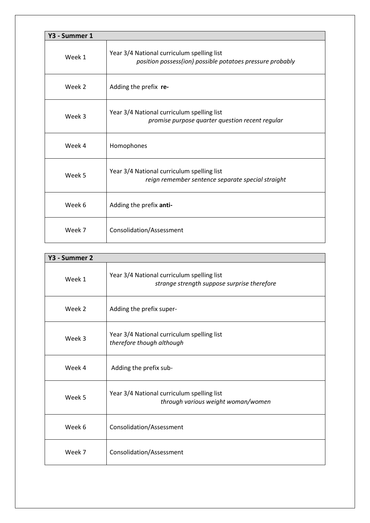| Y3 - Summer 1 |                                                                                                         |  |
|---------------|---------------------------------------------------------------------------------------------------------|--|
| Week 1        | Year 3/4 National curriculum spelling list<br>position possess(ion) possible potatoes pressure probably |  |
| Week 2        | Adding the prefix re-                                                                                   |  |
| Week 3        | Year 3/4 National curriculum spelling list<br>promise purpose quarter question recent regular           |  |
| Week 4        | Homophones                                                                                              |  |
| Week 5        | Year 3/4 National curriculum spelling list<br>reign remember sentence separate special straight         |  |
| Week 6        | Adding the prefix anti-                                                                                 |  |
| Week 7        | Consolidation/Assessment                                                                                |  |

| Y3 - Summer 2 |                                                                                           |
|---------------|-------------------------------------------------------------------------------------------|
| Week 1        | Year 3/4 National curriculum spelling list<br>strange strength suppose surprise therefore |
| Week 2        | Adding the prefix super-                                                                  |
| Week 3        | Year 3/4 National curriculum spelling list<br>therefore though although                   |
| Week 4        | Adding the prefix sub-                                                                    |
| Week 5        | Year 3/4 National curriculum spelling list<br>through various weight woman/women          |
| Week 6        | Consolidation/Assessment                                                                  |
| Week 7        | Consolidation/Assessment                                                                  |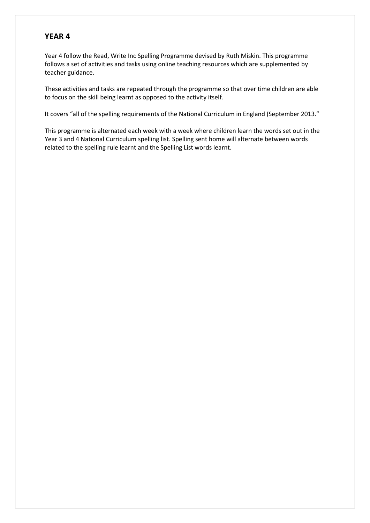Year 4 follow the Read, Write Inc Spelling Programme devised by Ruth Miskin. This programme follows a set of activities and tasks using online teaching resources which are supplemented by teacher guidance.

These activities and tasks are repeated through the programme so that over time children are able to focus on the skill being learnt as opposed to the activity itself.

It covers "all of the spelling requirements of the National Curriculum in England (September 2013."

This programme is alternated each week with a week where children learn the words set out in the Year 3 and 4 National Curriculum spelling list. Spelling sent home will alternate between words related to the spelling rule learnt and the Spelling List words learnt.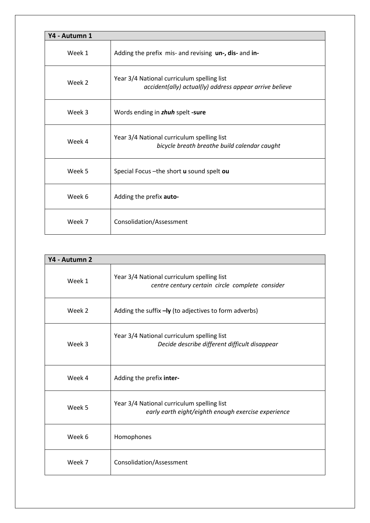| Y4 - Autumn 1 |                                                                                                       |  |
|---------------|-------------------------------------------------------------------------------------------------------|--|
| Week 1        | Adding the prefix mis- and revising un-, dis- and in-                                                 |  |
| Week 2        | Year 3/4 National curriculum spelling list<br>accident(ally) actual(ly) address appear arrive believe |  |
| Week 3        | Words ending in zhuh spelt-sure                                                                       |  |
| Week 4        | Year 3/4 National curriculum spelling list<br>bicycle breath breathe build calendar caught            |  |
| Week 5        | Special Focus - the short u sound spelt ou                                                            |  |
| Week 6        | Adding the prefix auto-                                                                               |  |
| Week 7        | Consolidation/Assessment                                                                              |  |

| Y4 - Autumn 2 |                                                                                                   |
|---------------|---------------------------------------------------------------------------------------------------|
| Week 1        | Year 3/4 National curriculum spelling list<br>centre century certain circle complete consider     |
| Week 2        | Adding the suffix -ly (to adjectives to form adverbs)                                             |
| Week 3        | Year 3/4 National curriculum spelling list<br>Decide describe different difficult disappear       |
| Week 4        | Adding the prefix inter-                                                                          |
| Week 5        | Year 3/4 National curriculum spelling list<br>early earth eight/eighth enough exercise experience |
| Week 6        | Homophones                                                                                        |
| Week 7        | Consolidation/Assessment                                                                          |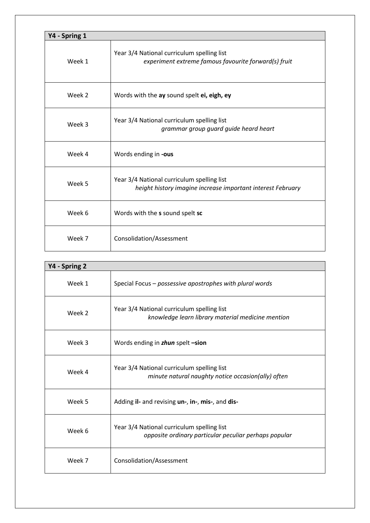| Y4 - Spring 1 |                                                                                                           |  |
|---------------|-----------------------------------------------------------------------------------------------------------|--|
| Week 1        | Year 3/4 National curriculum spelling list<br>experiment extreme famous favourite forward(s) fruit        |  |
| Week 2        | Words with the ay sound spelt ei, eigh, ey                                                                |  |
| Week 3        | Year 3/4 National curriculum spelling list<br>grammar group guard guide heard heart                       |  |
| Week 4        | Words ending in -ous                                                                                      |  |
| Week 5        | Year 3/4 National curriculum spelling list<br>height history imagine increase important interest February |  |
| Week 6        | Words with the s sound spelt sc                                                                           |  |
| Week 7        | Consolidation/Assessment                                                                                  |  |

| Y4 - Spring 2 |                                                                                                     |  |
|---------------|-----------------------------------------------------------------------------------------------------|--|
| Week 1        | Special Focus - possessive apostrophes with plural words                                            |  |
| Week 2        | Year 3/4 National curriculum spelling list<br>knowledge learn library material medicine mention     |  |
| Week 3        | Words ending in zhun spelt -sion                                                                    |  |
| Week 4        | Year 3/4 National curriculum spelling list<br>minute natural naughty notice occasion(ally) often    |  |
| Week 5        | Adding il- and revising un-, in-, mis-, and dis-                                                    |  |
| Week 6        | Year 3/4 National curriculum spelling list<br>opposite ordinary particular peculiar perhaps popular |  |
| Week 7        | Consolidation/Assessment                                                                            |  |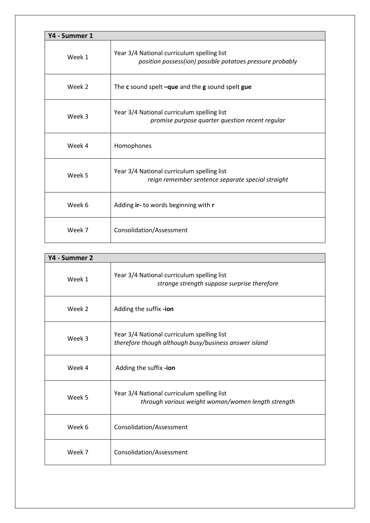| Y4 - Summer 1 |                                                                                                         |  |
|---------------|---------------------------------------------------------------------------------------------------------|--|
| Week 1        | Year 3/4 National curriculum spelling list<br>position possess(ion) possible potatoes pressure probably |  |
| Week 2        | The c sound spelt $-qu$ e and the g sound spelt gue                                                     |  |
| Week 3        | Year 3/4 National curriculum spelling list<br>promise purpose quarter question recent regular           |  |
| Week 4        | Homophones                                                                                              |  |
| Week 5        | Year 3/4 National curriculum spelling list<br>reign remember sentence separate special straight         |  |
| Week 6        | Adding ir- to words beginning with r                                                                    |  |
| Week 7        | Consolidation/Assessment                                                                                |  |

| Y4 - Summer 2 |                                                                                                     |  |
|---------------|-----------------------------------------------------------------------------------------------------|--|
| Week 1        | Year 3/4 National curriculum spelling list<br>strange strength suppose surprise therefore           |  |
| Week 2        | Adding the suffix -ion                                                                              |  |
| Week 3        | Year 3/4 National curriculum spelling list<br>therefore though although busy/business answer island |  |
| Week 4        | Adding the suffix -ion                                                                              |  |
| Week 5        | Year 3/4 National curriculum spelling list<br>through various weight woman/women length strength    |  |
| Week 6        | Consolidation/Assessment                                                                            |  |
| Week 7        | Consolidation/Assessment                                                                            |  |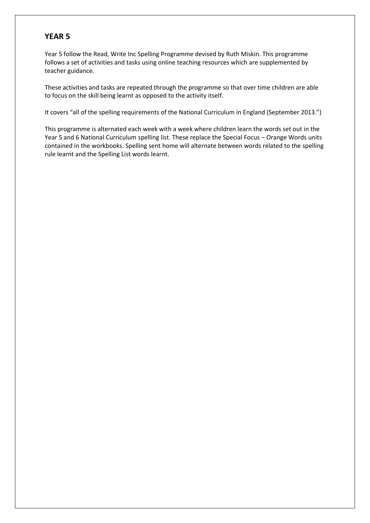Year 5 follow the Read, Write Inc Spelling Programme devised by Ruth Miskin. This programme follows a set of activities and tasks using online teaching resources which are supplemented by teacher guidance.

These activities and tasks are repeated through the programme so that over time children are able to focus on the skill being learnt as opposed to the activity itself.

It covers "all of the spelling requirements of the National Curriculum in England (September 2013.")

This programme is alternated each week with a week where children learn the words set out in the Year 5 and 6 National Curriculum spelling list. These replace the Special Focus – Orange Words units contained in the workbooks. Spelling sent home will alternate between words related to the spelling rule learnt and the Spelling List words learnt.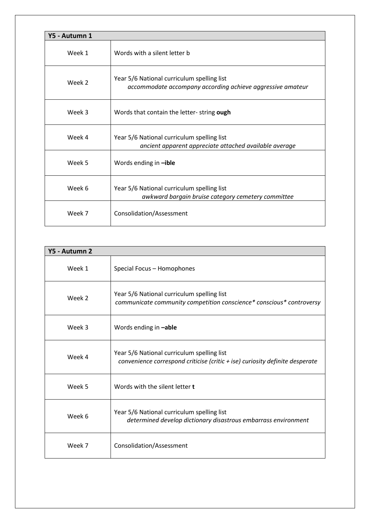| Y5 - Autumn 1 |                                                                                                          |  |  |
|---------------|----------------------------------------------------------------------------------------------------------|--|--|
| Week 1        | Words with a silent letter b                                                                             |  |  |
| Week 2        | Year 5/6 National curriculum spelling list<br>accommodate accompany according achieve aggressive amateur |  |  |
| Week 3        | Words that contain the letter-string ough                                                                |  |  |
| Week 4        | Year 5/6 National curriculum spelling list<br>ancient apparent appreciate attached available average     |  |  |
| Week 5        | Words ending in -ible                                                                                    |  |  |
| Week 6        | Year 5/6 National curriculum spelling list<br>awkward bargain bruise category cemetery committee         |  |  |
| Week 7        | Consolidation/Assessment                                                                                 |  |  |

| Y5 - Autumn 2 |                                                                                                                              |
|---------------|------------------------------------------------------------------------------------------------------------------------------|
| Week 1        | Special Focus - Homophones                                                                                                   |
| Week 2        | Year 5/6 National curriculum spelling list<br>communicate community competition conscience* conscious* controversy           |
| Week 3        | Words ending in -able                                                                                                        |
| Week 4        | Year 5/6 National curriculum spelling list<br>convenience correspond criticise (critic $+$ ise) curiosity definite desperate |
| Week 5        | Words with the silent letter t                                                                                               |
| Week 6        | Year 5/6 National curriculum spelling list<br>determined develop dictionary disastrous embarrass environment                 |
| Week 7        | Consolidation/Assessment                                                                                                     |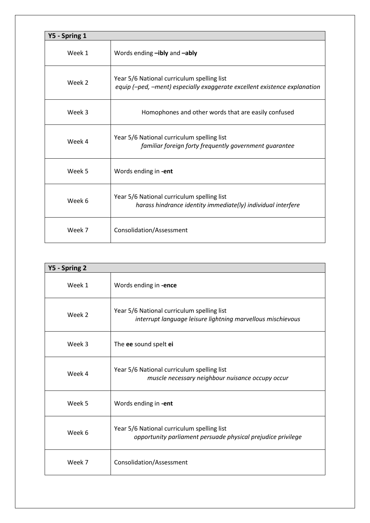| Y5 - Spring 1 |                                                                                                                         |  |
|---------------|-------------------------------------------------------------------------------------------------------------------------|--|
| Week 1        | Words ending -ibly and -ably                                                                                            |  |
| Week 2        | Year 5/6 National curriculum spelling list<br>equip (-ped, -ment) especially exaggerate excellent existence explanation |  |
| Week 3        | Homophones and other words that are easily confused                                                                     |  |
| Week 4        | Year 5/6 National curriculum spelling list<br>familiar foreign forty frequently government guarantee                    |  |
| Week 5        | Words ending in -ent                                                                                                    |  |
| Week 6        | Year 5/6 National curriculum spelling list<br>harass hindrance identity immediate(ly) individual interfere              |  |
| Week 7        | Consolidation/Assessment                                                                                                |  |

| Y5 - Spring 2 |                                                                                                            |  |
|---------------|------------------------------------------------------------------------------------------------------------|--|
| Week 1        | Words ending in -ence                                                                                      |  |
| Week 2        | Year 5/6 National curriculum spelling list<br>interrupt language leisure lightning marvellous mischievous  |  |
| Week 3        | The ee sound spelt ei                                                                                      |  |
| Week 4        | Year 5/6 National curriculum spelling list<br>muscle necessary neighbour nuisance occupy occur             |  |
| Week 5        | Words ending in -ent                                                                                       |  |
| Week 6        | Year 5/6 National curriculum spelling list<br>opportunity parliament persuade physical prejudice privilege |  |
| Week 7        | Consolidation/Assessment                                                                                   |  |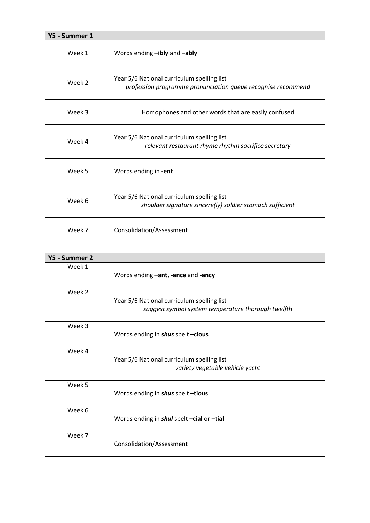| Y5 - Summer 1 |                                                                                                            |  |
|---------------|------------------------------------------------------------------------------------------------------------|--|
| Week 1        | Words ending -ibly and -ably                                                                               |  |
| Week 2        | Year 5/6 National curriculum spelling list<br>profession programme pronunciation queue recognise recommend |  |
| Week 3        | Homophones and other words that are easily confused                                                        |  |
| Week 4        | Year 5/6 National curriculum spelling list<br>relevant restaurant rhyme rhythm sacrifice secretary         |  |
| Week 5        | Words ending in -ent                                                                                       |  |
| Week 6        | Year 5/6 National curriculum spelling list<br>shoulder signature sincere(ly) soldier stomach sufficient    |  |
| Week 7        | Consolidation/Assessment                                                                                   |  |

| Y5 - Summer 2 |                                                                                                  |
|---------------|--------------------------------------------------------------------------------------------------|
| Week 1        | Words ending -ant, -ance and -ancy                                                               |
| Week 2        | Year 5/6 National curriculum spelling list<br>suggest symbol system temperature thorough twelfth |
| Week 3        | Words ending in shus spelt-cious                                                                 |
| Week 4        | Year 5/6 National curriculum spelling list<br>variety vegetable vehicle yacht                    |
| Week 5        | Words ending in shus spelt-tious                                                                 |
| Week 6        | Words ending in shul spelt -cial or -tial                                                        |
| Week 7        | Consolidation/Assessment                                                                         |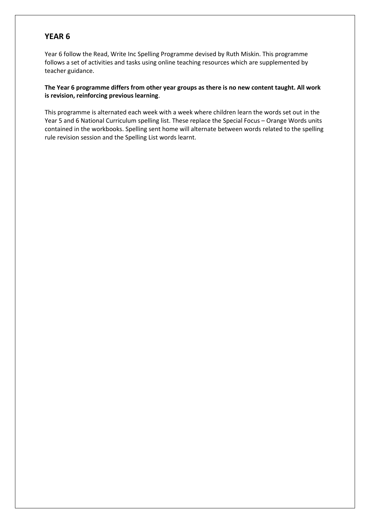Year 6 follow the Read, Write Inc Spelling Programme devised by Ruth Miskin. This programme follows a set of activities and tasks using online teaching resources which are supplemented by teacher guidance.

#### **The Year 6 programme differs from other year groups as there is no new content taught. All work is revision, reinforcing previous learning**.

This programme is alternated each week with a week where children learn the words set out in the Year 5 and 6 National Curriculum spelling list. These replace the Special Focus – Orange Words units contained in the workbooks. Spelling sent home will alternate between words related to the spelling rule revision session and the Spelling List words learnt.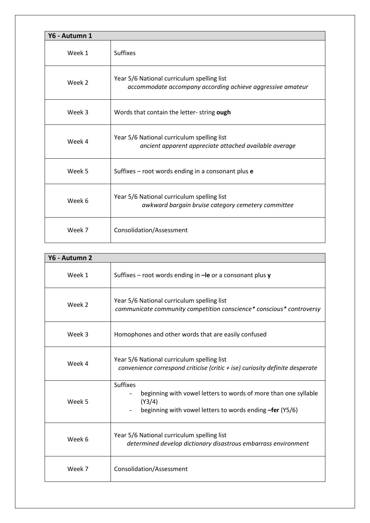| Y6 - Autumn 1 |                                                                                                          |  |
|---------------|----------------------------------------------------------------------------------------------------------|--|
| Week 1        | <b>Suffixes</b>                                                                                          |  |
| Week 2        | Year 5/6 National curriculum spelling list<br>accommodate accompany according achieve aggressive amateur |  |
| Week 3        | Words that contain the letter- string ough                                                               |  |
| Week 4        | Year 5/6 National curriculum spelling list<br>ancient apparent appreciate attached available average     |  |
| Week 5        | Suffixes - root words ending in a consonant plus e                                                       |  |
| Week 6        | Year 5/6 National curriculum spelling list<br>awkward bargain bruise category cemetery committee         |  |
| Week 7        | Consolidation/Assessment                                                                                 |  |

| Y6 - Autumn 2 |                                                                                                                                                          |  |
|---------------|----------------------------------------------------------------------------------------------------------------------------------------------------------|--|
| Week 1        | Suffixes – root words ending in $-\mathbf{le}$ or a consonant plus y                                                                                     |  |
| Week 2        | Year 5/6 National curriculum spelling list<br>communicate community competition conscience* conscious* controversy                                       |  |
| Week 3        | Homophones and other words that are easily confused                                                                                                      |  |
| Week 4        | Year 5/6 National curriculum spelling list<br>convenience correspond criticise (critic + ise) curiosity definite desperate                               |  |
| Week 5        | <b>Suffixes</b><br>beginning with vowel letters to words of more than one syllable<br>(Y3/4)<br>beginning with vowel letters to words ending -fer (Y5/6) |  |
| Week 6        | Year 5/6 National curriculum spelling list<br>determined develop dictionary disastrous embarrass environment                                             |  |
| Week 7        | Consolidation/Assessment                                                                                                                                 |  |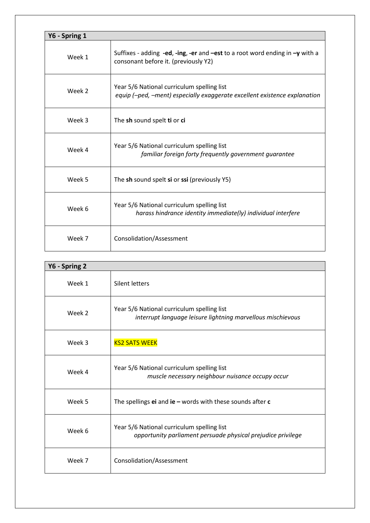| Y6 - Spring 1 |                                                                                                                         |  |
|---------------|-------------------------------------------------------------------------------------------------------------------------|--|
| Week 1        | Suffixes - adding -ed, -ing, -er and -est to a root word ending in $-y$ with a<br>consonant before it. (previously Y2)  |  |
| Week 2        | Year 5/6 National curriculum spelling list<br>equip (-ped, -ment) especially exaggerate excellent existence explanation |  |
| Week 3        | The sh sound spelt ti or ci                                                                                             |  |
| Week 4        | Year 5/6 National curriculum spelling list<br>familiar foreign forty frequently government guarantee                    |  |
| Week 5        | The sh sound spelt si or ssi (previously Y5)                                                                            |  |
| Week 6        | Year 5/6 National curriculum spelling list<br>harass hindrance identity immediate(ly) individual interfere              |  |
| Week 7        | Consolidation/Assessment                                                                                                |  |

| Y6 - Spring 2 |                                                                                                            |  |
|---------------|------------------------------------------------------------------------------------------------------------|--|
| Week 1        | Silent letters                                                                                             |  |
| Week 2        | Year 5/6 National curriculum spelling list<br>interrupt language leisure lightning marvellous mischievous  |  |
| Week 3        | <b>KS2 SATS WEEK</b>                                                                                       |  |
| Week 4        | Year 5/6 National curriculum spelling list<br>muscle necessary neighbour nuisance occupy occur             |  |
| Week 5        | The spellings $ei$ and $ie$ – words with these sounds after $c$                                            |  |
| Week 6        | Year 5/6 National curriculum spelling list<br>opportunity parliament persuade physical prejudice privilege |  |
| Week 7        | Consolidation/Assessment                                                                                   |  |